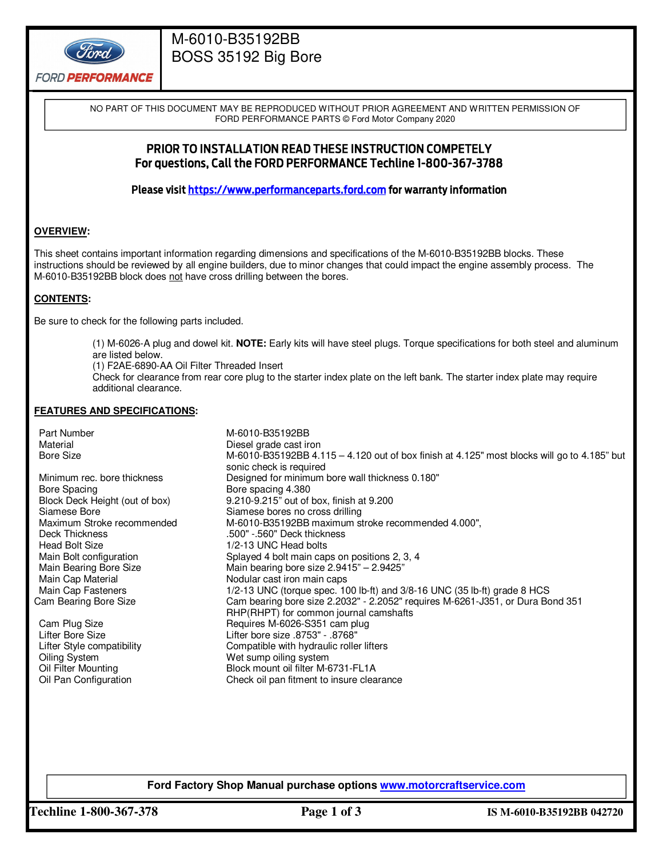

# M-6010-B35192BB BOSS 35192 Big Bore

NO PART OF THIS DOCUMENT MAY BE REPRODUCED WITHOUT PRIOR AGREEMENT AND WRITTEN PERMISSION OF FORD PERFORMANCE PARTS © Ford Motor Company 2020

## PRIOR TO INSTALLATION READ THESE INSTRUCTION COMPETELY For questions, Call the FORD PERFORMANCE Techline 1-800-367-3788

Please visit https://www.performanceparts.ford.com for warranty information

#### **OVERVIEW:**

This sheet contains important information regarding dimensions and specifications of the M-6010-B35192BB blocks. These instructions should be reviewed by all engine builders, due to minor changes that could impact the engine assembly process. The M-6010-B35192BB block does not have cross drilling between the bores.

#### **CONTENTS:**

Be sure to check for the following parts included.

(1) M-6026-A plug and dowel kit. **NOTE:** Early kits will have steel plugs. Torque specifications for both steel and aluminum are listed below.

(1) F2AE-6890-AA Oil Filter Threaded Insert

Check for clearance from rear core plug to the starter index plate on the left bank. The starter index plate may require additional clearance.

#### **FEATURES AND SPECIFICATIONS:**

Part Number M-6010-B35192BB Material discussed means of the Diesel grade cast iron means of the Diesel grade cast iron means of the Diesel grade cast iron means of the Diesel grade cast iron means of the Diesel grade cast iron means of the Diesel gra Bore Size M-6010-B35192BB 4.115 – 4.120 out of box finish at 4.125" most blocks will go to 4.185" but sonic check is required Minimum rec. bore thickness Designed for minimum bore wall thickness 0.180"<br>Bore Spacing Bore spacing 4.380 Bore Spacing <br>Block Deck Height (out of box) Block Deck Height (out of box) 9.210-9.215" out of Block Deck Height (out of box) 9.210-9.215" out of box, finish at 9.200 Siamese Bore<br>
M-6010-B35192BB maximum stroke recommended<br>
M-6010-B35192BB maximum st M-6010-B35192BB maximum stroke recommended 4.000", Deck Thickness .500" -.560" Deck thickness Head Bolt Size 1/2-13 UNC Head bolts<br>Main Bolt configuration 11 12-13 UNC Head bolts Main Bolt configuration Splayed 4 bolt main caps on positions 2, 3, 4<br>Main Bearing Bore Size Main bearing bore size 2.9415" - 2.9425" Main Bearing Bore Size Main bearing bore size 2.9415" – 2.9425" Main Cap Material **Material Cap Material** Nodular cast iron main caps<br>Main Cap Fasteners 10 1/2-13 UNC (torque spec. 10 Main Cap Fasteners **1/2-13 UNC (torque spec. 100 lb-ft)** and 3/8-16 UNC (35 lb-ft) grade 8 HCS<br>Cam Bearing Bore Size **Cam bearing bore size 2.2032**" - 2.2052" requires M-6261-J351, or Dura Bo Cam bearing bore size 2.2032" - 2.2052" requires M-6261-J351, or Dura Bond 351 RHP(RHPT) for common journal camshafts Cam Plug Size **Requires M-6026-S351 cam plug** Lifter Bore Size Lifter bore size .8753" - .8768" Lifter Style compatibility Compatible with hydraulic roller lifters Oiling System<br>
Oil Filter Mounting<br>
Dil Cil Filter Mounting<br>
Dil Cil Filter M-6 Block mount oil filter M-6731-FL1A Oil Pan Configuration Check oil pan fitment to insure clearance

**Ford Factory Shop Manual purchase options www.motorcraftservice.com** 

**Techline 1-800-367-378 Page 1 of 3 IS M-6010-B35192BB 042720**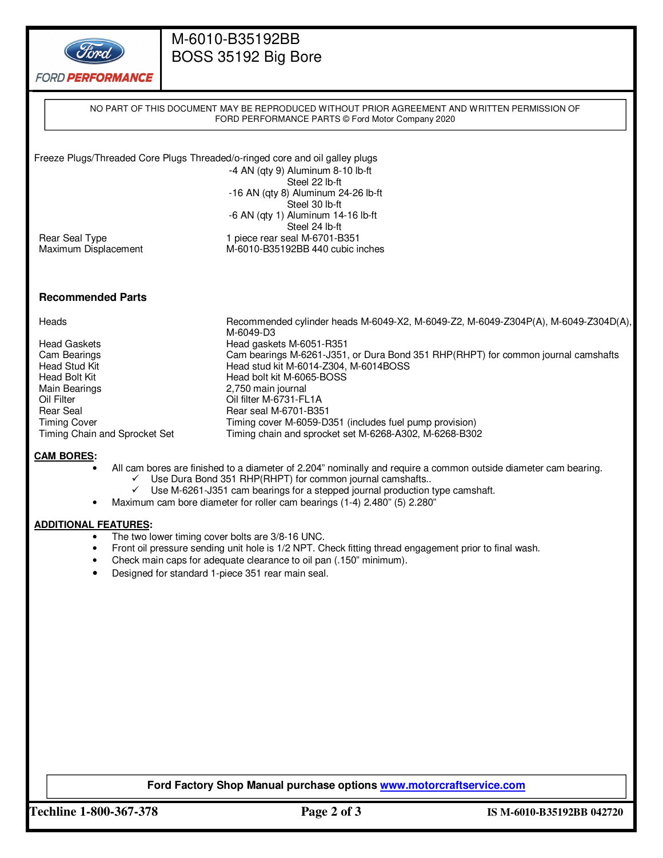

# M-6010-B35192BB BOSS 35192 Big Bore

**FORD PERFORMANCE** 

|                          | NO PART OF THIS DOCUMENT MAY BE REPRODUCED WITHOUT PRIOR AGREEMENT AND WRITTEN PERMISSION OF<br>FORD PERFORMANCE PARTS © Ford Motor Company 2020 |
|--------------------------|--------------------------------------------------------------------------------------------------------------------------------------------------|
|                          |                                                                                                                                                  |
|                          |                                                                                                                                                  |
|                          | Freeze Plugs/Threaded Core Plugs Threaded/o-ringed core and oil galley plugs                                                                     |
|                          | $-4$ AN (qty 9) Aluminum 8-10 lb-ft                                                                                                              |
|                          | Steel 22 lb-ft                                                                                                                                   |
|                          | $-16$ AN (qty 8) Aluminum 24 $-26$ lb $-ft$                                                                                                      |
|                          | Steel 30 lb-ft                                                                                                                                   |
|                          | $-6$ AN (qty 1) Aluminum 14-16 lb-ft                                                                                                             |
|                          | Steel 24 lb-ft                                                                                                                                   |
| Rear Seal Type           | 1 piece rear seal M-6701-B351                                                                                                                    |
| Maximum Displacement     | M-6010-B35192BB 440 cubic inches                                                                                                                 |
|                          |                                                                                                                                                  |
|                          |                                                                                                                                                  |
| <b>Recommended Parts</b> |                                                                                                                                                  |
|                          |                                                                                                                                                  |
| Heads                    | Recommended cylinder heads M-6049-X2, M-6049-Z2, M-6049-Z304P(A), M-6049-Z304D(A),<br>M-6049-D3                                                  |
| <b>Head Gaskets</b>      | Head gaskets M-6051-R351                                                                                                                         |
| Cam Bearings             | Cam bearings M-6261-J351, or Dura Bond 351 RHP(RHPT) for common journal camshafts                                                                |
| Head Stud Kit            | Head stud kit M-6014-Z304, M-6014BOSS                                                                                                            |
| Head Bolt Kit            | Head bolt kit M-6065-BOSS                                                                                                                        |

- Main Bearings 2,750 main journal
- Oil Filter Collection Filter M-6731-FL1A<br>
Rear Seal M-6701-B35
- Rear Seal Rear Seal M-6701-B351<br>Timing Cover Communication Cover M-6059-D3
- Timing cover Timing cover M-6059-D351 (includes fuel pump provision)<br>Timing chain and Sprocket Set Timing chain and sprocket set M-6268-A302, M-6268-B302 Timing chain and sprocket set M-6268-A302, M-6268-B302

### **CAM BORES:**

- All cam bores are finished to a diameter of 2.204" nominally and require a common outside diameter cam bearing.
	- $\checkmark$  Use Dura Bond 351 RHP(RHPT) for common journal camshafts..
	- $\checkmark$  Use M-6261-J351 cam bearings for a stepped journal production type camshaft.
- Maximum cam bore diameter for roller cam bearings (1-4) 2.480" (5) 2.280"

### **ADDITIONAL FEATURES:**

- The two lower timing cover bolts are 3/8-16 UNC.
- Front oil pressure sending unit hole is 1/2 NPT. Check fitting thread engagement prior to final wash.
- Check main caps for adequate clearance to oil pan (.150" minimum).
- Designed for standard 1-piece 351 rear main seal.

### **Ford Factory Shop Manual purchase options www.motorcraftservice.com**

**Techline 1-800-367-378 Page 2 of 3 IS M-6010-B35192BB 042720**